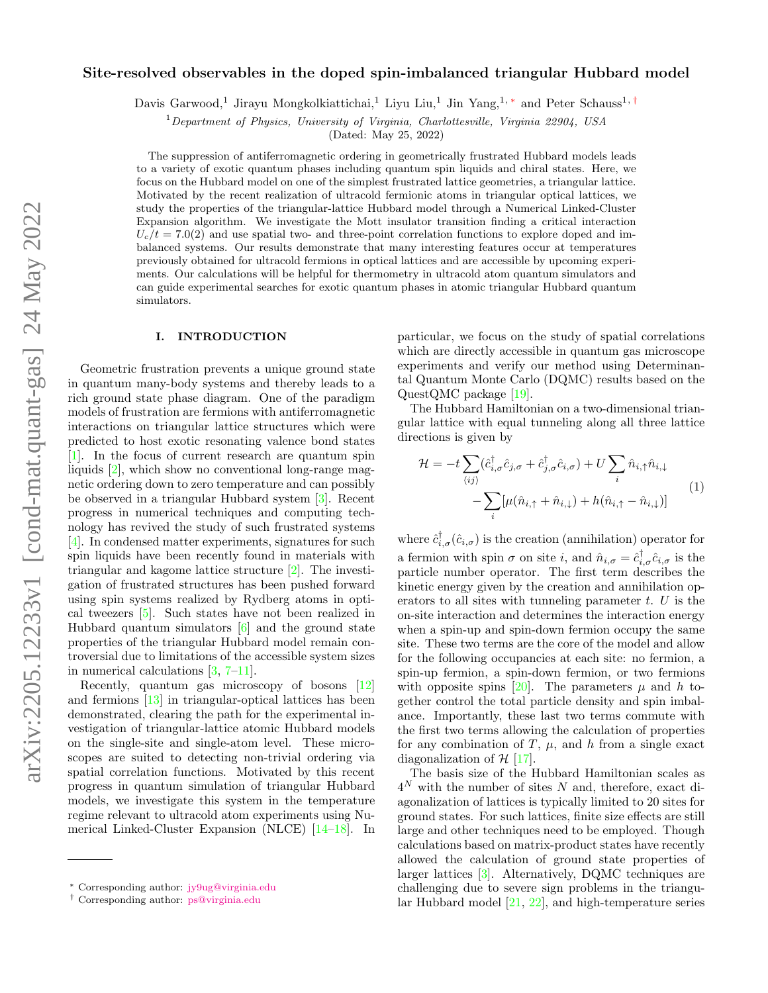# Site-resolved observables in the doped spin-imbalanced triangular Hubbard model

Davis Garwood,<sup>1</sup> Jirayu Mongkolkiattichai,<sup>1</sup> Liyu Liu,<sup>1</sup> Jin Yang,<sup>1,[∗](#page-0-0)</sup> and Peter Schauss<sup>1,[†](#page-0-1)</sup>

 $1$ Department of Physics, University of Virginia, Charlottesville, Virginia 22904, USA

(Dated: May 25, 2022)

The suppression of antiferromagnetic ordering in geometrically frustrated Hubbard models leads to a variety of exotic quantum phases including quantum spin liquids and chiral states. Here, we focus on the Hubbard model on one of the simplest frustrated lattice geometries, a triangular lattice. Motivated by the recent realization of ultracold fermionic atoms in triangular optical lattices, we study the properties of the triangular-lattice Hubbard model through a Numerical Linked-Cluster Expansion algorithm. We investigate the Mott insulator transition finding a critical interaction  $U_c/t = 7.0(2)$  and use spatial two- and three-point correlation functions to explore doped and imbalanced systems. Our results demonstrate that many interesting features occur at temperatures previously obtained for ultracold fermions in optical lattices and are accessible by upcoming experiments. Our calculations will be helpful for thermometry in ultracold atom quantum simulators and can guide experimental searches for exotic quantum phases in atomic triangular Hubbard quantum simulators.

### I. INTRODUCTION

Geometric frustration prevents a unique ground state in quantum many-body systems and thereby leads to a rich ground state phase diagram. One of the paradigm models of frustration are fermions with antiferromagnetic interactions on triangular lattice structures which were predicted to host exotic resonating valence bond states [\[1\]](#page-6-0). In the focus of current research are quantum spin liquids [\[2\]](#page-6-1), which show no conventional long-range magnetic ordering down to zero temperature and can possibly be observed in a triangular Hubbard system [\[3\]](#page-6-2). Recent progress in numerical techniques and computing technology has revived the study of such frustrated systems [\[4\]](#page-6-3). In condensed matter experiments, signatures for such spin liquids have been recently found in materials with triangular and kagome lattice structure [\[2\]](#page-6-1). The investigation of frustrated structures has been pushed forward using spin systems realized by Rydberg atoms in optical tweezers [\[5\]](#page-6-4). Such states have not been realized in Hubbard quantum simulators [\[6\]](#page-6-5) and the ground state properties of the triangular Hubbard model remain controversial due to limitations of the accessible system sizes in numerical calculations [\[3,](#page-6-2) [7](#page-6-6)[–11\]](#page-6-7).

Recently, quantum gas microscopy of bosons [\[12\]](#page-6-8) and fermions [\[13\]](#page-6-9) in triangular-optical lattices has been demonstrated, clearing the path for the experimental investigation of triangular-lattice atomic Hubbard models on the single-site and single-atom level. These microscopes are suited to detecting non-trivial ordering via spatial correlation functions. Motivated by this recent progress in quantum simulation of triangular Hubbard models, we investigate this system in the temperature regime relevant to ultracold atom experiments using Numerical Linked-Cluster Expansion (NLCE) [\[14](#page-6-10)[–18\]](#page-6-11). In

particular, we focus on the study of spatial correlations which are directly accessible in quantum gas microscope experiments and verify our method using Determinantal Quantum Monte Carlo (DQMC) results based on the QuestQMC package [\[19\]](#page-6-12).

The Hubbard Hamiltonian on a two-dimensional triangular lattice with equal tunneling along all three lattice directions is given by

$$
\mathcal{H} = -t \sum_{\langle ij \rangle} (\hat{c}_{i,\sigma}^{\dagger} \hat{c}_{j,\sigma} + \hat{c}_{j,\sigma}^{\dagger} \hat{c}_{i,\sigma}) + U \sum_{i} \hat{n}_{i,\uparrow} \hat{n}_{i,\downarrow} \n- \sum_{i} [\mu(\hat{n}_{i,\uparrow} + \hat{n}_{i,\downarrow}) + h(\hat{n}_{i,\uparrow} - \hat{n}_{i,\downarrow})]
$$
\n(1)

where  $\hat{c}_{i,\sigma}^{\dagger}(\hat{c}_{i,\sigma})$  is the creation (annihilation) operator for a fermion with spin  $\sigma$  on site *i*, and  $\hat{n}_{i,\sigma} = \hat{c}_{i,\sigma}^{\dagger} \hat{c}_{i,\sigma}$  is the particle number operator. The first term describes the kinetic energy given by the creation and annihilation operators to all sites with tunneling parameter  $t$ .  $U$  is the on-site interaction and determines the interaction energy when a spin-up and spin-down fermion occupy the same site. These two terms are the core of the model and allow for the following occupancies at each site: no fermion, a spin-up fermion, a spin-down fermion, or two fermions with opposite spins [\[20\]](#page-6-13). The parameters  $\mu$  and h together control the total particle density and spin imbalance. Importantly, these last two terms commute with the first two terms allowing the calculation of properties for any combination of  $T$ ,  $\mu$ , and h from a single exact diagonalization of  $\mathcal{H}$  [\[17\]](#page-6-14).

The basis size of the Hubbard Hamiltonian scales as  $4^N$  with the number of sites N and, therefore, exact diagonalization of lattices is typically limited to 20 sites for ground states. For such lattices, finite size effects are still large and other techniques need to be employed. Though calculations based on matrix-product states have recently allowed the calculation of ground state properties of larger lattices [\[3\]](#page-6-2). Alternatively, DQMC techniques are challenging due to severe sign problems in the triangular Hubbard model [\[21,](#page-6-15) [22\]](#page-6-16), and high-temperature series

<span id="page-0-0"></span><sup>∗</sup> Corresponding author: [jy9ug@virginia.edu](mailto:jy9ug@virginia.edu)

<span id="page-0-1"></span><sup>†</sup> Corresponding author: [ps@virginia.edu](mailto:ps@virginia.edu)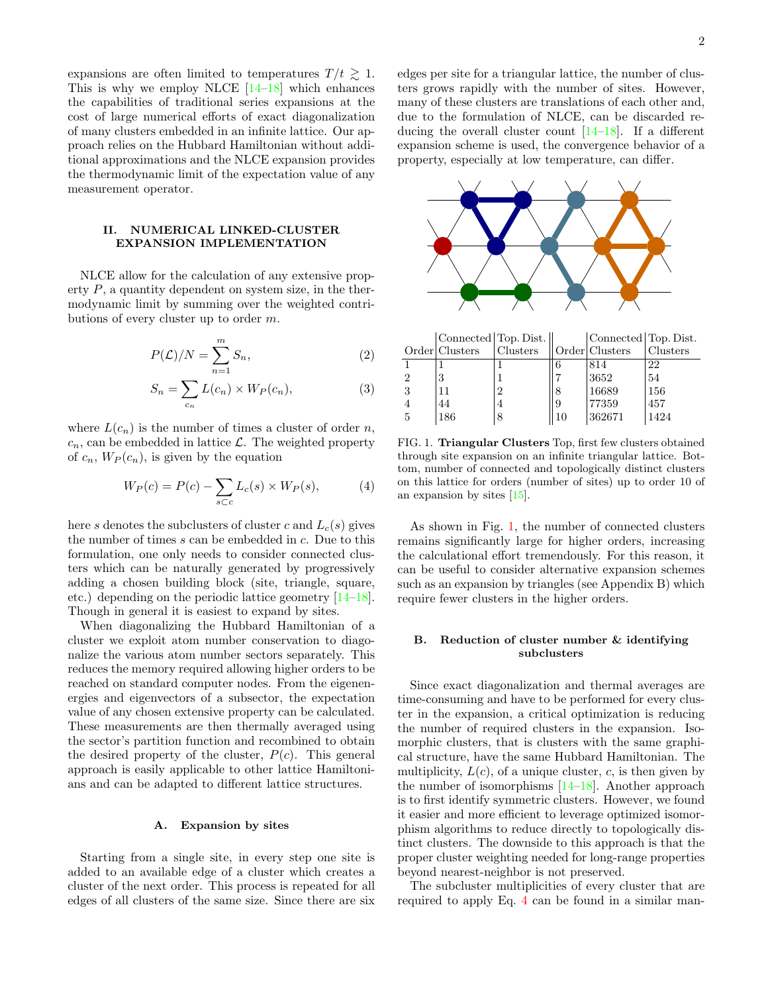expansions are often limited to temperatures  $T/t \gtrsim 1$ . This is why we employ NLCE  $[14-18]$  $[14-18]$  which enhances the capabilities of traditional series expansions at the cost of large numerical efforts of exact diagonalization of many clusters embedded in an infinite lattice. Our approach relies on the Hubbard Hamiltonian without additional approximations and the NLCE expansion provides the thermodynamic limit of the expectation value of any measurement operator.

# II. NUMERICAL LINKED-CLUSTER EXPANSION IMPLEMENTATION

NLCE allow for the calculation of any extensive property  $P$ , a quantity dependent on system size, in the thermodynamic limit by summing over the weighted contributions of every cluster up to order m.

$$
P(\mathcal{L})/N = \sum_{n=1}^{m} S_n,
$$
\n(2)

$$
S_n = \sum_{c_n} L(c_n) \times W_P(c_n),\tag{3}
$$

where  $L(c_n)$  is the number of times a cluster of order n,  $c_n$ , can be embedded in lattice  $\mathcal{L}$ . The weighted property of  $c_n$ ,  $W_P(c_n)$ , is given by the equation

<span id="page-1-1"></span>
$$
W_P(c) = P(c) - \sum_{s \subset c} L_c(s) \times W_P(s), \tag{4}
$$

here s denotes the subclusters of cluster c and  $L_c(s)$  gives the number of times s can be embedded in c. Due to this formulation, one only needs to consider connected clusters which can be naturally generated by progressively adding a chosen building block (site, triangle, square, etc.) depending on the periodic lattice geometry [\[14–](#page-6-10)[18\]](#page-6-11). Though in general it is easiest to expand by sites.

When diagonalizing the Hubbard Hamiltonian of a cluster we exploit atom number conservation to diagonalize the various atom number sectors separately. This reduces the memory required allowing higher orders to be reached on standard computer nodes. From the eigenenergies and eigenvectors of a subsector, the expectation value of any chosen extensive property can be calculated. These measurements are then thermally averaged using the sector's partition function and recombined to obtain the desired property of the cluster,  $P(c)$ . This general approach is easily applicable to other lattice Hamiltonians and can be adapted to different lattice structures.

### A. Expansion by sites

Starting from a single site, in every step one site is added to an available edge of a cluster which creates a cluster of the next order. This process is repeated for all edges of all clusters of the same size. Since there are six edges per site for a triangular lattice, the number of clusters grows rapidly with the number of sites. However, many of these clusters are translations of each other and, due to the formulation of NLCE, can be discarded reducing the overall cluster count  $[14-18]$  $[14-18]$ . If a different expansion scheme is used, the convergence behavior of a property, especially at low temperature, can differ.



|               | Connected Top. Dist. |                |    | Connected Top. Dist. |          |
|---------------|----------------------|----------------|----|----------------------|----------|
|               | Order Clusters       | Clusters       |    | Order Clusters       | Clusters |
|               |                      |                |    | 814                  | 22       |
| $\mathcal{D}$ |                      |                |    | 3652                 | 54       |
| 3             |                      | $\overline{2}$ |    | 16689                | 156      |
|               | 44                   | 4              |    | 77359                | 457      |
| $\frac{5}{2}$ | 186                  | 8              | 10 | 362671               | 1424     |

<span id="page-1-0"></span>FIG. 1. Triangular Clusters Top, first few clusters obtained through site expansion on an infinite triangular lattice. Bottom, number of connected and topologically distinct clusters on this lattice for orders (number of sites) up to order 10 of an expansion by sites [\[15\]](#page-6-17).

As shown in Fig. [1,](#page-1-0) the number of connected clusters remains significantly large for higher orders, increasing the calculational effort tremendously. For this reason, it can be useful to consider alternative expansion schemes such as an expansion by triangles (see Appendix B) which require fewer clusters in the higher orders.

### B. Reduction of cluster number & identifying subclusters

Since exact diagonalization and thermal averages are time-consuming and have to be performed for every cluster in the expansion, a critical optimization is reducing the number of required clusters in the expansion. Isomorphic clusters, that is clusters with the same graphical structure, have the same Hubbard Hamiltonian. The multiplicity,  $L(c)$ , of a unique cluster, c, is then given by the number of isomorphisms [\[14–](#page-6-10)[18\]](#page-6-11). Another approach is to first identify symmetric clusters. However, we found it easier and more efficient to leverage optimized isomorphism algorithms to reduce directly to topologically distinct clusters. The downside to this approach is that the proper cluster weighting needed for long-range properties beyond nearest-neighbor is not preserved.

The subcluster multiplicities of every cluster that are required to apply Eq. [4](#page-1-1) can be found in a similar man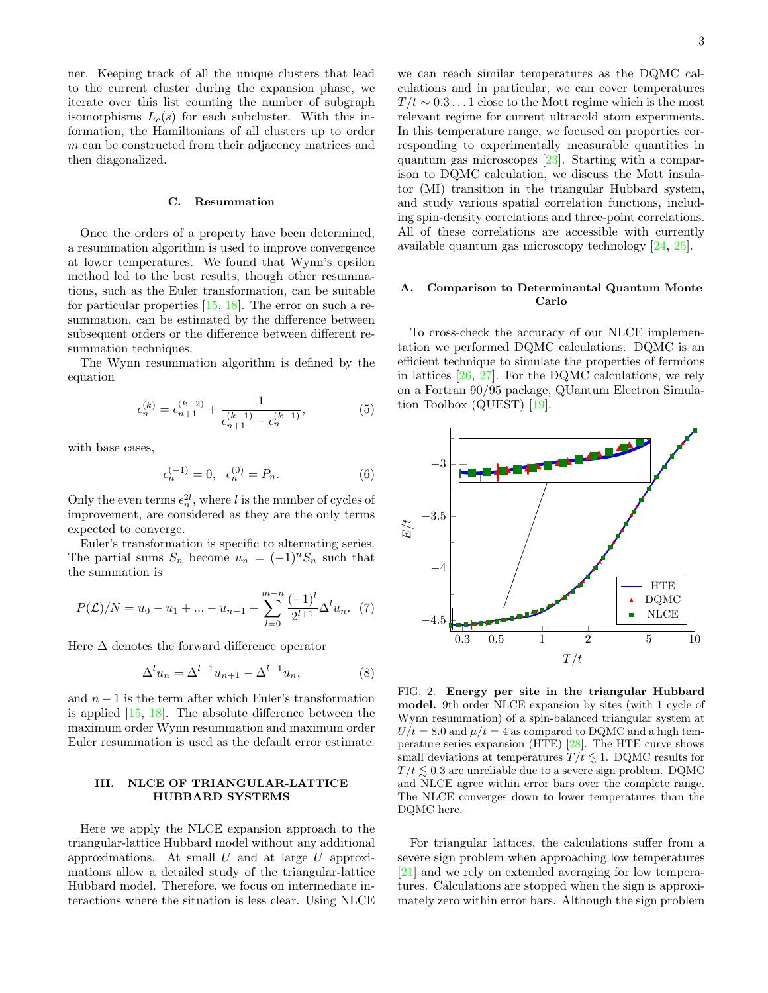ner. Keeping track of all the unique clusters that lead to the current cluster during the expansion phase, we iterate over this list counting the number of subgraph isomorphisms  $L_c(s)$  for each subcluster. With this information, the Hamiltonians of all clusters up to order m can be constructed from their adjacency matrices and then diagonalized.

### C. Resummation

Once the orders of a property have been determined, a resummation algorithm is used to improve convergence at lower temperatures. We found that Wynn's epsilon method led to the best results, though other resummaat lower temperatures. We found that Wyllin's epsilon<br>method led to the best results, though other resumma-<br>tions, such as the Euler transformation, can be suitable for particular properties  $[15, 18]$  $[15, 18]$  $[15, 18]$ . The error on such a resummation, can be estimated by the difference between subsequent orders or the difference between different resummation techniques.

The Wynn resummation algorithm is defined by the equation

$$
\epsilon_n^{(k)} = \epsilon_{n+1}^{(k-2)} + \frac{1}{\epsilon_{n+1}^{(k-1)} - \epsilon_n^{(k-1)}},\tag{5}
$$

with base cases,

$$
\epsilon_n^{(-1)} = 0, \quad \epsilon_n^{(0)} = P_n. \tag{6}
$$

Only the even terms  $\epsilon_n^{2l}$ , where l is the number of cycles of improvement, are considered as they are the only terms expected to converge.

Euler's transformation is specific to alternating series. The partial sums  $S_n$  become  $u_n = (-1)^n S_n$  such that the summation is

$$
P(\mathcal{L})/N = u_0 - u_1 + \dots - u_{n-1} + \sum_{l=0}^{m-n} \frac{(-1)^l}{2^{l+1}} \Delta^l u_n. \tag{7}
$$

Here  $\Delta$  denotes the forward difference operator

$$
\Delta^l u_n = \Delta^{l-1} u_{n+1} - \Delta^{l-1} u_n,\tag{8}
$$

and  $n-1$  is the term after which Euler's transformation is applied  $[15, 18]$  $[15, 18]$  $[15, 18]$ . The absolute difference between the maximum order Wynn resummation and maximum order Euler resummation is used as the default error estimate.

# III. NLCE OF TRIANGULAR-LATTICE HUBBARD SYSTEMS

Here we apply the NLCE expansion approach to the triangular-lattice Hubbard model without any additional approximations. At small  $U$  and at large  $U$  approximations allow a detailed study of the triangular-lattice Hubbard model. Therefore, we focus on intermediate interactions where the situation is less clear. Using NLCE

we can reach similar temperatures as the DQMC calculations and in particular, we can cover temperatures  $T/t \sim 0.3 \ldots 1$  close to the Mott regime which is the most relevant regime for current ultracold atom experiments. In this temperature range, we focused on properties corresponding to experimentally measurable quantities in responding to experimentally measurable quantities in<br>quantum gas microscopes [\[23\]](#page-6-18). Starting with a comparison to DQMC calculation, we discuss the Mott insulator (MI) transition in the triangular Hubbard system, and study various spatial correlation functions, including spin-density correlations and three-point correlations. All of these correlations are accessible with currently available quantum gas microscopy technology [\[24,](#page-6-19) [25\]](#page-6-20).

# A. Comparison to Determinantal Quantum Monte Carlo

To cross-check the accuracy of our NLCE implementation we performed DQMC calculations. DQMC is an efficient technique to simulate the properties of fermions<br>in lattices  $[26, 27]$ . For the DOMC calculations, we rely in lattices [\[26,](#page-6-21) [27\]](#page-6-22). For the DQMC calculations, we rely on a Fortran 90/95 package, QUantum Electron Simulation Toolbox (QUEST) [\[19\]](#page-6-12).



<span id="page-2-0"></span>FIG. 2. Energy per site in the triangular Hubbard model. 9th order NLCE expansion by sites (with 1 cycle of Wynn resummation) of a spin-balanced triangular system at  $U/t = 8.0$  and  $\mu/t = 4$  as compared to DQMC and a high temperature series expansion (HTE) [\[28\]](#page-6-23). The HTE curve shows small deviations at temperatures  $T/t \leq 1$ . DQMC results for  $T/t \leq 0.3$  are unreliable due to a severe sign problem. DQMC and NLCE agree within error bars over the complete range. The NLCE converges down to lower temperatures than the DQMC here.

For triangular lattices, the calculations suffer from a severe sign problem when approaching low temperatures [\[21\]](#page-6-15) and we rely on extended averaging for low temperatures. Calculations are stopped when the sign is approximately zero within error bars. Although the sign problem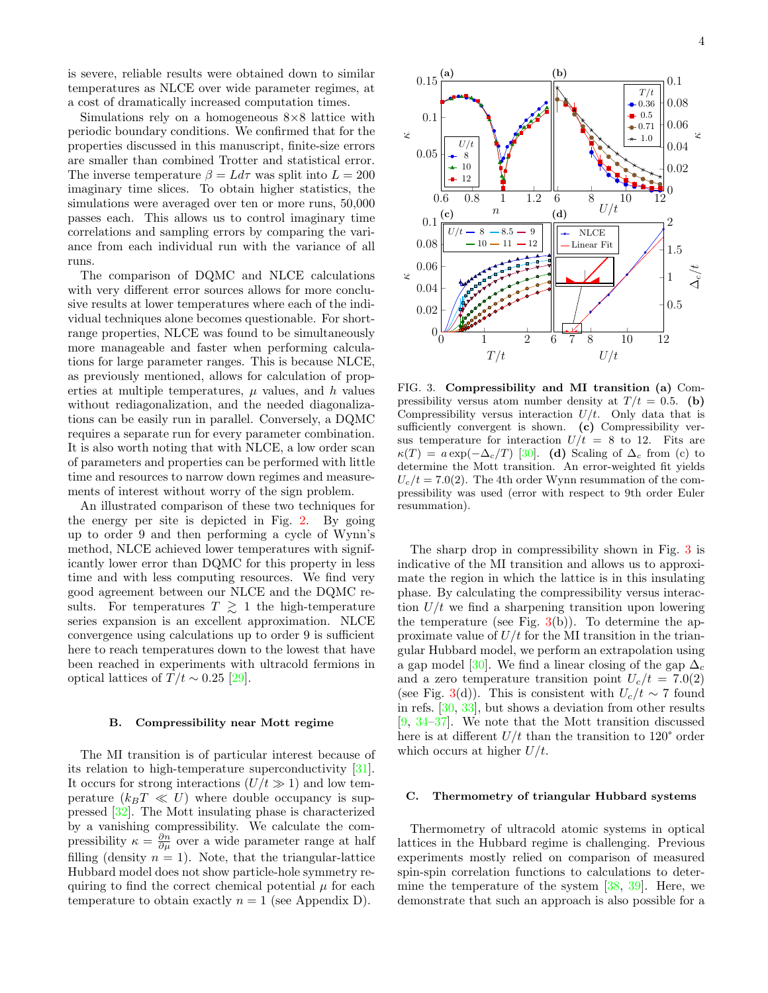is severe, reliable results were obtained down to similar temperatures as NLCE over wide parameter regimes, at a cost of dramatically increased computation times. reliable res<br>ures as NL<br>dramaticall

Simulations rely on a homogeneous  $8\times 8$  lattice with periodic boundary conditions. We confirmed that for the properties discussed in this manuscript, finite-size errors<br>are smaller than combined Trotter and statistical error. are smaller than combined Trotter and statistical error. The inverse temperature  $\beta = L d\tau$  was split into  $L = 200$ imaginary time slices. To obtain higher statistics, the simulations were averaged over ten or more runs, 50,000 passes each. This allows us to control imaginary time correlations and sampling errors by comparing the variance from each individual run with the variance of all runs. ns were avei<br>ch. This a<br>ns and sam

The comparison of DQMC and NLCE calculations<br>th very different error sources allows for more conclu-<br>property and lower temperatures where seek of the indiwith very different error sources allows for more conclusive results at lower temperatures where each of the indiwith very different error sources allows for more conclusive results at lower temperatures where each of the individual techniques alone becomes questionable. For shortrange properties, NLCE was found to be simultaneously more manageable and faster when performing calculamore manageable and faster when performing calculations for large parameter ranges. This is because NLCE, as previously mentioned, allows for calculation of properties at multiple temperatures,  $\mu$  values, and  $h$  values without rediagonalization, and the needed diagonalizations can be easily run in parallel. Conversely, a DQMC requires a separate run for every parameter combination. It is also worth noting that with NLCE, a low order scan of parameters and properties can be performed with little time and resources to narrow down regimes and measurements of interest without worry of the sign problem.

An illustrated comparison of these two techniques for the energy per site is depicted in Fig. [2.](#page-2-0) By going up to order 9 and then performing a cycle of Wynn's method, NLCE achieved lower temperatures with significantly lower error than DQMC for this property in less time and with less computing resources. We find very good agreement between our NLCE and the DQMC results. For temperatures  $T \geq 1$  the high-temperature series expansion is an excellent approximation. NLCE convergence using calculations up to order 9 is sufficient here to reach temperatures down to the lowest that have been reached in experiments with ultracold fermions in optical lattices of  $T/t \sim 0.25$  [\[29\]](#page-6-24).

# B. Compressibility near Mott regime

The MI transition is of particular interest because of its relation to high-temperature superconductivity [\[31\]](#page-6-25). It occurs for strong interactions  $(U/t \gg 1)$  and low temperature  $(k_BT \ll U)$  where double occupancy is suppressed [\[32\]](#page-6-26). The Mott insulating phase is characterized by a vanishing compressibility. We calculate the compressibility  $\kappa = \frac{\partial n}{\partial \mu}$  over a wide parameter range at half filling (density  $n = 1$ ). Note, that the triangular-lattice Hubbard model does not show particle-hole symmetry requiring to find the correct chemical potential  $\mu$  for each temperature to obtain exactly  $n = 1$  (see Appendix D).



<span id="page-3-0"></span>FIG. 3. Compressibility and MI transition (a) Compressibility versus atom number density at  $T/t = 0.5$ . (b) Compressibility versus interaction  $U/t$ . Only data that is sufficiently convergent is shown. (c) Compressibility versus temperature for interaction  $U/t = 8$  to 12. Fits are  $\kappa(T) = a \exp(-\Delta_c/T)$  [\[30\]](#page-6-27). (d) Scaling of  $\Delta_c$  from (c) to determine the Mott transition. An error-weighted fit yields  $U_c/t = 7.0(2)$ . The 4th order Wynn resummation of the compressibility was used (error with respect to 9th order Euler resummation).

The sharp drop in compressibility shown in Fig. [3](#page-3-0) is indicative of the MI transition and allows us to approximate the region in which the lattice is in this insulating phase. By calculating the compressibility versus interaction  $U/t$  we find a sharpening transition upon lowering the temperature (see Fig.  $3(b)$  $3(b)$ ). To determine the approximate value of  $U/t$  for the MI transition in the triangular Hubbard model, we perform an extrapolation using a gap model [\[30\]](#page-6-27). We find a linear closing of the gap  $\Delta_c$ and a zero temperature transition point  $U_c/t = 7.0(2)$ (see Fig. [3\(](#page-3-0)d)). This is consistent with  $U_c/t \sim 7$  found in refs. [\[30,](#page-6-27) [33\]](#page-6-28), but shows a deviation from other results [\[9,](#page-6-29) [34–](#page-6-30)[37\]](#page-6-31). We note that the Mott transition discussed here is at different  $U/t$  than the transition to 120 $^{\circ}$  order which occurs at higher  $U/t$ .

# C. Thermometry of triangular Hubbard systems

Thermometry of ultracold atomic systems in optical lattices in the Hubbard regime is challenging. Previous experiments mostly relied on comparison of measured spin-spin correlation functions to calculations to determine the temperature of the system [\[38,](#page-6-32) [39\]](#page-6-33). Here, we demonstrate that such an approach is also possible for a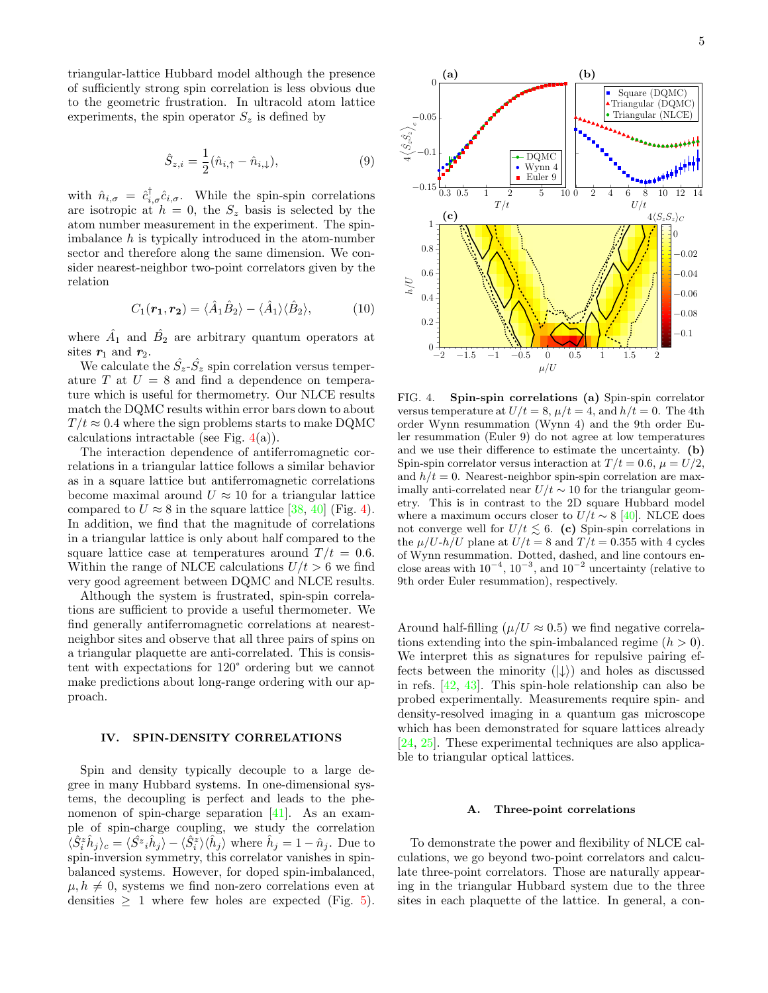triangular-lattice Hubbard model although the presence of sufficiently strong spin correlation is less obvious due to the geometric frustration. In ultracold atom lattice experiments, the spin operator  $S_z$  is defined by

$$
\hat{S}_{z,i} = \frac{1}{2}(\hat{n}_{i,\uparrow} - \hat{n}_{i,\downarrow}),\tag{9}
$$

with  $\hat{n}_{i,\sigma} = \hat{c}_{i,\sigma}^{\dagger} \hat{c}_{i,\sigma}$ . While the spin-spin correlations are isotropic at  $h = 0$ , the  $S_z$  basis is selected by the atom number measurement in the experiment. The spinimbalance  $h$  is typically introduced in the atom-number sector and therefore along the same dimension. We consider nearest-neighbor two-point correlators given by the relation

$$
C_1(\mathbf{r_1}, \mathbf{r_2}) = \langle \hat{A}_1 \hat{B}_2 \rangle - \langle \hat{A}_1 \rangle \langle \hat{B}_2 \rangle, \tag{10}
$$

where  $\hat{A}_1$  and  $\hat{B}_2$  are arbitrary quantum operators at sites  $r_1$  and  $r_2$ .

We calculate the  $\hat{S}_z - \hat{S}_z$  spin correlation versus temperature T at  $U = 8$  and find a dependence on temperature which is useful for thermometry. Our NLCE results match the DQMC results within error bars down to about  $T/t \approx 0.4$  where the sign problems starts to make DQMC calculations intractable (see Fig.  $4(a)$  $4(a)$ ).

The interaction dependence of antiferromagnetic correlations in a triangular lattice follows a similar behavior as in a square lattice but antiferromagnetic correlations become maximal around  $U \approx 10$  for a triangular lattice compared to  $U \approx 8$  in the square lattice [\[38,](#page-6-32) [40\]](#page-6-34) (Fig. [4\)](#page-4-0). In addition, we find that the magnitude of correlations in a triangular lattice is only about half compared to the square lattice case at temperatures around  $T/t = 0.6$ . Within the range of NLCE calculations  $U/t > 6$  we find very good agreement between DQMC and NLCE results.

Although the system is frustrated, spin-spin correlations are sufficient to provide a useful thermometer. We find generally antiferromagnetic correlations at nearestneighbor sites and observe that all three pairs of spins on a triangular plaquette are anti-correlated. This is consistent with expectations for 120° ordering but we cannot make predictions about long-range ordering with our approach.

# IV. SPIN-DENSITY CORRELATIONS

Spin and density typically decouple to a large degree in many Hubbard systems. In one-dimensional systems, the decoupling is perfect and leads to the phenomenon of spin-charge separation [\[41\]](#page-6-35). As an example of spin-charge coupling, we study the correlation  $\langle \hat{S}_i^z \hat{h}_j \rangle_c = \langle \hat{S}_i^z \rangle \langle \hat{h}_j \rangle - \langle \hat{S}_i^z \rangle \langle \hat{h}_j \rangle$  where  $\hat{h}_j = 1 - \hat{n}_j$ . Due to spin-inversion symmetry, this correlator vanishes in spinbalanced systems. However, for doped spin-imbalanced,  $\mu, h \neq 0$ , systems we find non-zero correlations even at densities  $\geq 1$  where few holes are expected (Fig. [5\)](#page-5-0).



<span id="page-4-0"></span>FIG. 4. Spin-spin correlations (a) Spin-spin correlator versus temperature at  $U/t = 8$ ,  $\mu/t = 4$ , and  $h/t = 0$ . The 4th order Wynn resummation (Wynn 4) and the 9th order Euler resummation (Euler 9) do not agree at low temperatures and we use their difference to estimate the uncertainty. (b) Spin-spin correlator versus interaction at  $T/t = 0.6$ ,  $\mu = U/2$ , and  $h/t = 0$ . Nearest-neighbor spin-spin correlation are maximally anti-correlated near  $U/t \sim 10$  for the triangular geometry. This is in contrast to the 2D square Hubbard model where a maximum occurs closer to  $U/t \sim 8$  [\[40\]](#page-6-34). NLCE does not converge well for  $U/t \lesssim 6$ . (c) Spin-spin correlations in the  $\mu/U-h/U$  plane at  $U/t = 8$  and  $T/t = 0.355$  with 4 cycles of Wynn resummation. Dotted, dashed, and line contours enclose areas with  $10^{-4}$ ,  $10^{-3}$ , and  $10^{-2}$  uncertainty (relative to 9th order Euler resummation), respectively.

Around half-filling ( $\mu/U \approx 0.5$ ) we find negative correlations extending into the spin-imbalanced regime  $(h > 0)$ . We interpret this as signatures for repulsive pairing effects between the minority  $(|\downarrow\rangle)$  and holes as discussed in refs. [\[42,](#page-6-36) [43\]](#page-6-37). This spin-hole relationship can also be probed experimentally. Measurements require spin- and density-resolved imaging in a quantum gas microscope which has been demonstrated for square lattices already [\[24,](#page-6-19) [25\]](#page-6-20). These experimental techniques are also applicable to triangular optical lattices.

### A. Three-point correlations

To demonstrate the power and flexibility of NLCE calculations, we go beyond two-point correlators and calculate three-point correlators. Those are naturally appearing in the triangular Hubbard system due to the three sites in each plaquette of the lattice. In general, a con-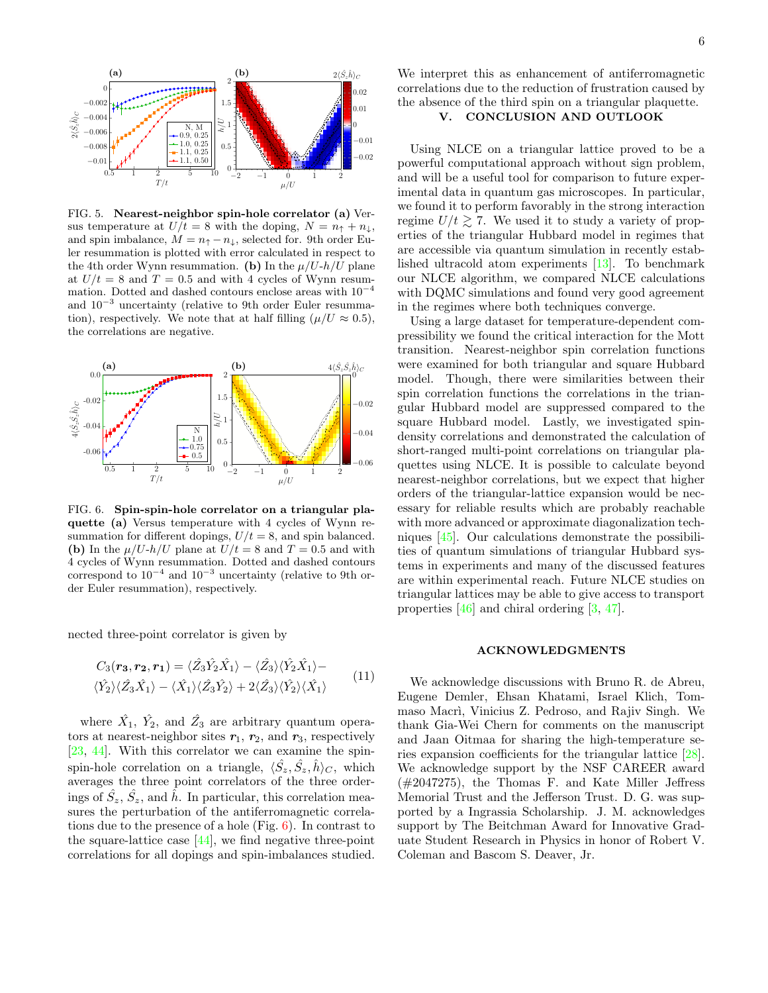

<span id="page-5-0"></span>FIG. 5. Nearest-neighbor spin-hole correlator (a) Versus temperature at  $U/t = 8$  with the doping,  $N = n<sub>†</sub> + n<sub>\downarrow</sub>$ , and spin imbalance,  $M = n_{\uparrow} - n_{\downarrow}$ , selected for. 9th order Euler resummation is plotted with error calculated in respect to the 4th order Wynn resummation. (b) In the  $\mu/U$ -h/U plane at  $U/t = 8$  and  $T = 0.5$  and with 4 cycles of Wynn resummation. Dotted and dashed contours enclose areas with  $10^{-4}$ and 10<sup>−</sup><sup>3</sup> uncertainty (relative to 9th order Euler resummation), respectively. We note that at half filling ( $\mu/U \approx 0.5$ ), the correlations are negative.



<span id="page-5-1"></span>FIG. 6. Spin-spin-hole correlator on a triangular plaquette (a) Versus temperature with 4 cycles of Wynn resummation for different dopings,  $U/t = 8$ , and spin balanced. (b) In the  $\mu/U$ -h/U plane at  $U/t = 8$  and  $T = 0.5$  and with 4 cycles of Wynn resummation. Dotted and dashed contours correspond to  $10^{-4}$  and  $10^{-3}$  uncertainty (relative to 9th order Euler resummation), respectively.

nected three-point correlator is given by

$$
C_3(\mathbf{r}_3, \mathbf{r}_2, \mathbf{r}_1) = \langle \hat{Z}_3 \hat{Y}_2 \hat{X}_1 \rangle - \langle \hat{Z}_3 \rangle \langle \hat{Y}_2 \hat{X}_1 \rangle - \langle \hat{Y}_2 \rangle \langle \hat{Z}_3 \hat{X}_1 \rangle - \langle \hat{X}_1 \rangle \langle \hat{Z}_3 \hat{Y}_2 \rangle + 2 \langle \hat{Z}_3 \rangle \langle \hat{Y}_2 \rangle \langle \hat{X}_1 \rangle
$$
\n(11)

where  $\hat{X_1}$ ,  $\hat{Y_2}$ , and  $\hat{Z_3}$  are arbitrary quantum operators at nearest-neighbor sites  $r_1$ ,  $r_2$ , and  $r_3$ , respectively [\[23,](#page-6-18) [44\]](#page-6-38). With this correlator we can examine the spinspin-hole correlation on a triangle,  $\langle \hat{S}_z, \hat{S}_z, \hat{h} \rangle_C$ , which averages the three point correlators of the three orderings of  $\hat{S}_z$ ,  $\hat{S}_z$ , and  $\hat{h}$ . In particular, this correlation measures the perturbation of the antiferromagnetic correlations due to the presence of a hole (Fig. [6\)](#page-5-1). In contrast to the square-lattice case  $[44]$ , we find negative three-point correlations for all dopings and spin-imbalances studied.

We interpret this as enhancement of antiferromagnetic correlations due to the reduction of frustration caused by the absence of the third spin on a triangular plaquette.

# V. CONCLUSION AND OUTLOOK

Using NLCE on a triangular lattice proved to be a powerful computational approach without sign problem, and will be a useful tool for comparison to future experimental data in quantum gas microscopes. In particular, we found it to perform favorably in the strong interaction regime  $U/t \geq 7$ . We used it to study a variety of properties of the triangular Hubbard model in regimes that are accessible via quantum simulation in recently established ultracold atom experiments [\[13\]](#page-6-9). To benchmark our NLCE algorithm, we compared NLCE calculations with DQMC simulations and found very good agreement in the regimes where both techniques converge.

Using a large dataset for temperature-dependent compressibility we found the critical interaction for the Mott transition. Nearest-neighbor spin correlation functions were examined for both triangular and square Hubbard model. Though, there were similarities between their spin correlation functions the correlations in the triangular Hubbard model are suppressed compared to the square Hubbard model. Lastly, we investigated spindensity correlations and demonstrated the calculation of short-ranged multi-point correlations on triangular plaquettes using NLCE. It is possible to calculate beyond nearest-neighbor correlations, but we expect that higher orders of the triangular-lattice expansion would be necessary for reliable results which are probably reachable with more advanced or approximate diagonalization techniques [\[45\]](#page-6-39). Our calculations demonstrate the possibilities of quantum simulations of triangular Hubbard systems in experiments and many of the discussed features are within experimental reach. Future NLCE studies on triangular lattices may be able to give access to transport properties [\[46\]](#page-6-40) and chiral ordering [\[3,](#page-6-2) [47\]](#page-6-41).

#### ACKNOWLEDGMENTS

We acknowledge discussions with Bruno R. de Abreu, Eugene Demler, Ehsan Khatami, Israel Klich, Tommaso Macrì, Vinicius Z. Pedroso, and Rajiv Singh. We thank Gia-Wei Chern for comments on the manuscript and Jaan Oitmaa for sharing the high-temperature series expansion coefficients for the triangular lattice [\[28\]](#page-6-23). We acknowledge support by the NSF CAREER award (#2047275), the Thomas F. and Kate Miller Jeffress Memorial Trust and the Jefferson Trust. D. G. was supported by a Ingrassia Scholarship. J. M. acknowledges support by The Beitchman Award for Innovative Graduate Student Research in Physics in honor of Robert V. Coleman and Bascom S. Deaver, Jr.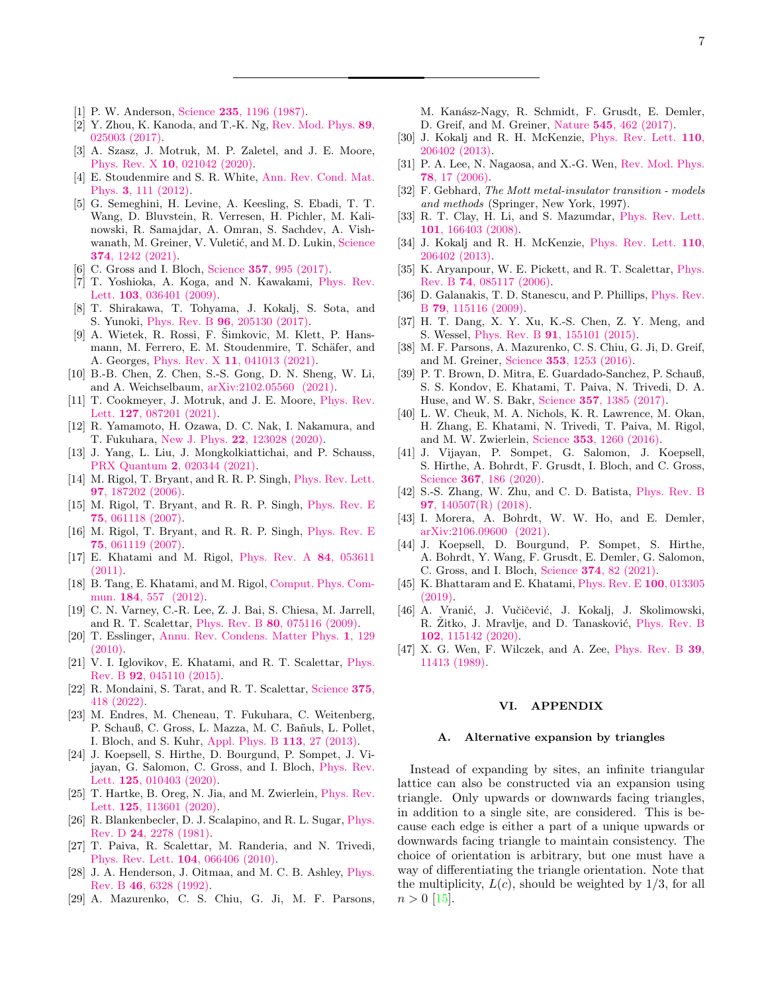- <span id="page-6-0"></span>[1] P. W. Anderson, Science 235[, 1196 \(1987\).](https://doi.org/10.1126/science.235.4793.1196)
- <span id="page-6-1"></span>[2] Y. Zhou, K. Kanoda, and T.-K. Ng, [Rev. Mod. Phys.](https://doi.org/10.1103/RevModPhys.89.025003) 89, [025003 \(2017\).](https://doi.org/10.1103/RevModPhys.89.025003)
- <span id="page-6-2"></span>[3] A. Szasz, J. Motruk, M. P. Zaletel, and J. E. Moore, Phys. Rev. X 10[, 021042 \(2020\).](https://doi.org/10.1103/PhysRevX.10.021042)
- <span id="page-6-3"></span>[4] E. Stoudenmire and S. R. White, [Ann. Rev. Cond. Mat.](https://doi.org/10.1146/annurev-conmatphys-020911-125018) Phys. 3[, 111 \(2012\).](https://doi.org/10.1146/annurev-conmatphys-020911-125018)
- <span id="page-6-4"></span>[5] G. Semeghini, H. Levine, A. Keesling, S. Ebadi, T. T. Wang, D. Bluvstein, R. Verresen, H. Pichler, M. Kalinowski, R. Samajdar, A. Omran, S. Sachdev, A. Vish-wanath, M. Greiner, V. Vuletić, and M. D. Lukin, [Science](https://doi.org/10.1126/science.abi8794) 374[, 1242 \(2021\).](https://doi.org/10.1126/science.abi8794)
- <span id="page-6-5"></span>[6] C. Gross and I. Bloch, Science 357[, 995 \(2017\).](https://doi.org/10.1126/science.aal3837)
- <span id="page-6-6"></span>[7] T. Yoshioka, A. Koga, and N. Kawakami, [Phys. Rev.](https://doi.org/10.1103/PhysRevLett.103.036401) Lett. 103[, 036401 \(2009\).](https://doi.org/10.1103/PhysRevLett.103.036401)
- <span id="page-6-42"></span>[8] T. Shirakawa, T. Tohyama, J. Kokalj, S. Sota, and S. Yunoki, Phys. Rev. B 96[, 205130 \(2017\).](https://doi.org/10.1103/PhysRevB.96.205130)
- <span id="page-6-29"></span> $[9]$  A. Wietek, R. Rossi, F. Simkovic, M. Klett, P. Hansmann, M. Ferrero, E. M. Stoudenmire, T. Schäfer, and A. Georges, Phys. Rev. X 11[, 041013 \(2021\).](https://doi.org/10.1103/PhysRevX.11.041013)
- [10] B.-B. Chen, Z. Chen, S.-S. Gong, D. N. Sheng, W. Li, and A. Weichselbaum, [arXiv:2102.05560 \(2021\).](http://arxiv.org/abs/2102.05560)
- <span id="page-6-7"></span>[11] T. Cookmeyer, J. Motruk, and J. E. Moore, [Phys. Rev.](https://doi.org/10.1103/PhysRevLett.127.087201) Lett. 127[, 087201 \(2021\).](https://doi.org/10.1103/PhysRevLett.127.087201)
- <span id="page-6-8"></span>[12] R. Yamamoto, H. Ozawa, D. C. Nak, I. Nakamura, and T. Fukuhara, New J. Phys. 22[, 123028 \(2020\).](https://doi.org/10.1088/1367-2630/abcdc8)
- <span id="page-6-9"></span>[13] J. Yang, L. Liu, J. Mongkolkiattichai, and P. Schauss, PRX Quantum 2[, 020344 \(2021\).](https://doi.org/10.1103/PRXQuantum.2.020344)
- <span id="page-6-10"></span>[14] M. Rigol, T. Bryant, and R. R. P. Singh, [Phys. Rev. Lett.](https://doi.org/10.1103/PhysRevLett.97.187202) 97[, 187202 \(2006\).](https://doi.org/10.1103/PhysRevLett.97.187202)
- <span id="page-6-17"></span>[15] M. Rigol, T. Bryant, and R. R. P. Singh, [Phys. Rev. E](https://doi.org/10.1103/PhysRevE.75.061118) 75[, 061118 \(2007\).](https://doi.org/10.1103/PhysRevE.75.061118)
- [16] M. Rigol, T. Bryant, and R. R. P. Singh, [Phys. Rev. E](https://doi.org/10.1103/PhysRevE.75.061119) 75[, 061119 \(2007\).](https://doi.org/10.1103/PhysRevE.75.061119)
- <span id="page-6-14"></span>[17] E. Khatami and M. Rigol, [Phys. Rev. A](https://doi.org/10.1103/PhysRevA.84.053611) 84, 053611 [\(2011\).](https://doi.org/10.1103/PhysRevA.84.053611)
- <span id="page-6-11"></span>[18] B. Tang, E. Khatami, and M. Rigol, [Comput. Phys. Com](https://doi.org/http://dx.doi.org/10.1016/j.cpc.2012.10.008)mun. 184[, 557 \(2012\).](https://doi.org/http://dx.doi.org/10.1016/j.cpc.2012.10.008)
- <span id="page-6-12"></span>[19] C. N. Varney, C.-R. Lee, Z. J. Bai, S. Chiesa, M. Jarrell, and R. T. Scalettar, Phys. Rev. B 80[, 075116 \(2009\).](https://doi.org/10.1103/PhysRevB.80.075116)
- <span id="page-6-13"></span>[20] T. Esslinger, [Annu. Rev. Condens. Matter Phys.](https://doi.org/10.1146/annurev-conmatphys-070909-104059) 1, 129 [\(2010\).](https://doi.org/10.1146/annurev-conmatphys-070909-104059)
- <span id="page-6-15"></span>[21] V. I. Iglovikov, E. Khatami, and R. T. Scalettar, [Phys.](https://doi.org/10.1103/PhysRevB.92.045110) Rev. B 92[, 045110 \(2015\).](https://doi.org/10.1103/PhysRevB.92.045110)
- <span id="page-6-16"></span>[22] R. Mondaini, S. Tarat, and R. T. Scalettar, [Science](https://doi.org/10.1126/science.abg9299) 375, [418 \(2022\).](https://doi.org/10.1126/science.abg9299)
- <span id="page-6-18"></span>[23] M. Endres, M. Cheneau, T. Fukuhara, C. Weitenberg, P. Schauß, C. Gross, L. Mazza, M. C. Bañuls, L. Pollet, I. Bloch, and S. Kuhr, [Appl. Phys. B](https://doi.org/10.1007/s00340-013-5552-9) 113, 27 (2013).
- <span id="page-6-19"></span>[24] J. Koepsell, S. Hirthe, D. Bourgund, P. Sompet, J. Vijayan, G. Salomon, C. Gross, and I. Bloch, [Phys. Rev.](https://doi.org/10.1103/PhysRevLett.125.010403) Lett. 125[, 010403 \(2020\).](https://doi.org/10.1103/PhysRevLett.125.010403)
- <span id="page-6-20"></span>[25] T. Hartke, B. Oreg, N. Jia, and M. Zwierlein, [Phys. Rev.](https://doi.org/10.1103/PhysRevLett.125.113601) Lett. 125[, 113601 \(2020\).](https://doi.org/10.1103/PhysRevLett.125.113601)
- <span id="page-6-21"></span>[26] R. Blankenbecler, D. J. Scalapino, and R. L. Sugar, [Phys.](https://doi.org/10.1103/PhysRevD.24.2278) Rev. D 24[, 2278 \(1981\).](https://doi.org/10.1103/PhysRevD.24.2278)
- <span id="page-6-22"></span>[27] T. Paiva, R. Scalettar, M. Randeria, and N. Trivedi, [Phys. Rev. Lett.](https://doi.org/10.1103/PhysRevLett.104.066406) 104, 066406 (2010).
- <span id="page-6-23"></span>[28] J. A. Henderson, J. Oitmaa, and M. C. B. Ashley, [Phys.](https://doi.org/10.1103/PhysRevB.46.6328) Rev. B 46[, 6328 \(1992\).](https://doi.org/10.1103/PhysRevB.46.6328)
- <span id="page-6-24"></span>[29] A. Mazurenko, C. S. Chiu, G. Ji, M. F. Parsons,

M. Kanász-Nagy, R. Schmidt, F. Grusdt, E. Demler, D. Greif, and M. Greiner, Nature 545[, 462 \(2017\).](https://doi.org/10.1038/nature22362)

- <span id="page-6-27"></span>[30] J. Kokalj and R. H. McKenzie, [Phys. Rev. Lett.](https://doi.org/10.1103/PhysRevLett.110.206402) 110, [206402 \(2013\).](https://doi.org/10.1103/PhysRevLett.110.206402)
- <span id="page-6-25"></span>[31] P. A. Lee, N. Nagaosa, and X.-G. Wen, [Rev. Mod. Phys.](https://doi.org/10.1103/RevModPhys.78.17) 78[, 17 \(2006\).](https://doi.org/10.1103/RevModPhys.78.17)
- <span id="page-6-26"></span>[32] F. Gebhard, The Mott metal-insulator transition - models and methods (Springer, New York, 1997).
- <span id="page-6-28"></span>[33] R. T. Clay, H. Li, and S. Mazumdar, [Phys. Rev. Lett.](https://doi.org/10.1103/PhysRevLett.101.166403) 101[, 166403 \(2008\).](https://doi.org/10.1103/PhysRevLett.101.166403)
- <span id="page-6-30"></span>[34] J. Kokalj and R. H. McKenzie, [Phys. Rev. Lett.](https://doi.org/10.1103/PhysRevLett.110.206402) 110, [206402 \(2013\).](https://doi.org/10.1103/PhysRevLett.110.206402)
- [35] K. Aryanpour, W. E. Pickett, and R. T. Scalettar, [Phys.](https://doi.org/10.1103/PhysRevB.74.085117) Rev. B 74[, 085117 \(2006\).](https://doi.org/10.1103/PhysRevB.74.085117)
- [36] D. Galanakis, T. D. Stanescu, and P. Phillips, [Phys. Rev.](https://doi.org/10.1103/PhysRevB.79.115116) B 79[, 115116 \(2009\).](https://doi.org/10.1103/PhysRevB.79.115116)
- <span id="page-6-31"></span>[37] H. T. Dang, X. Y. Xu, K.-S. Chen, Z. Y. Meng, and S. Wessel, Phys. Rev. B 91[, 155101 \(2015\).](https://doi.org/10.1103/PhysRevB.91.155101)
- <span id="page-6-32"></span>[38] M. F. Parsons, A. Mazurenko, C. S. Chiu, G. Ji, D. Greif, and M. Greiner, Science 353[, 1253 \(2016\).](https://doi.org/10.1126/science.aag1430)
- <span id="page-6-33"></span>[39] P. T. Brown, D. Mitra, E. Guardado-Sanchez, P. Schauß, S. S. Kondov, E. Khatami, T. Paiva, N. Trivedi, D. A. Huse, and W. S. Bakr, Science 357[, 1385 \(2017\).](https://doi.org/10.1126/science.aam7838)
- <span id="page-6-34"></span>[40] L. W. Cheuk, M. A. Nichols, K. R. Lawrence, M. Okan, H. Zhang, E. Khatami, N. Trivedi, T. Paiva, M. Rigol, and M. W. Zwierlein, Science 353[, 1260 \(2016\).](https://doi.org/10.1126/science.aag3349)
- <span id="page-6-35"></span>[41] J. Vijayan, P. Sompet, G. Salomon, J. Koepsell, S. Hirthe, A. Bohrdt, F. Grusdt, I. Bloch, and C. Gross, Science **367**[, 186 \(2020\).](https://doi.org/10.1126/science.aay2354)
- <span id="page-6-36"></span>[42] S.-S. Zhang, W. Zhu, and C. D. Batista, [Phys. Rev. B](https://doi.org/10.1103/PhysRevB.97.140507) 97[, 140507\(R\) \(2018\).](https://doi.org/10.1103/PhysRevB.97.140507)
- <span id="page-6-37"></span>[43] I. Morera, A. Bohrdt, W. W. Ho, and E. Demler, [arXiv:2106.09600 \(2021\).](http://arxiv.org/abs/2106.09600)
- <span id="page-6-38"></span>[44] J. Koepsell, D. Bourgund, P. Sompet, S. Hirthe, A. Bohrdt, Y. Wang, F. Grusdt, E. Demler, G. Salomon, C. Gross, and I. Bloch, Science 374[, 82 \(2021\).](https://doi.org/10.1126/science.abe7165)
- <span id="page-6-39"></span>[45] K. Bhattaram and E. Khatami, [Phys. Rev. E](https://doi.org/10.1103/PhysRevE.100.013305) 100, 013305 [\(2019\).](https://doi.org/10.1103/PhysRevE.100.013305)
- <span id="page-6-40"></span>[46] A. Vranić, J. Vučičević, J. Kokalj, J. Skolimowski, R. Zitko, J. Mravlje, and D. Tanasković, [Phys. Rev. B](https://doi.org/10.1103/PhysRevB.102.115142) 102[, 115142 \(2020\).](https://doi.org/10.1103/PhysRevB.102.115142)
- <span id="page-6-41"></span>[47] X. G. Wen, F. Wilczek, and A. Zee, [Phys. Rev. B](https://doi.org/10.1103/PhysRevB.39.11413) 39, [11413 \(1989\).](https://doi.org/10.1103/PhysRevB.39.11413)

# VI. APPENDIX

#### Alternative expansion by triangles

Instead of expanding by sites, an infinite triangular lattice can also be constructed via an expansion using triangle. Only upwards or downwards facing triangles, in addition to a single site, are considered. This is because each edge is either a part of a unique upwards or downwards facing triangle to maintain consistency. The choice of orientation is arbitrary, but one must have a way of differentiating the triangle orientation. Note that the multiplicity,  $L(c)$ , should be weighted by  $1/3$ , for all  $n > 0$  [\[15\]](#page-6-17).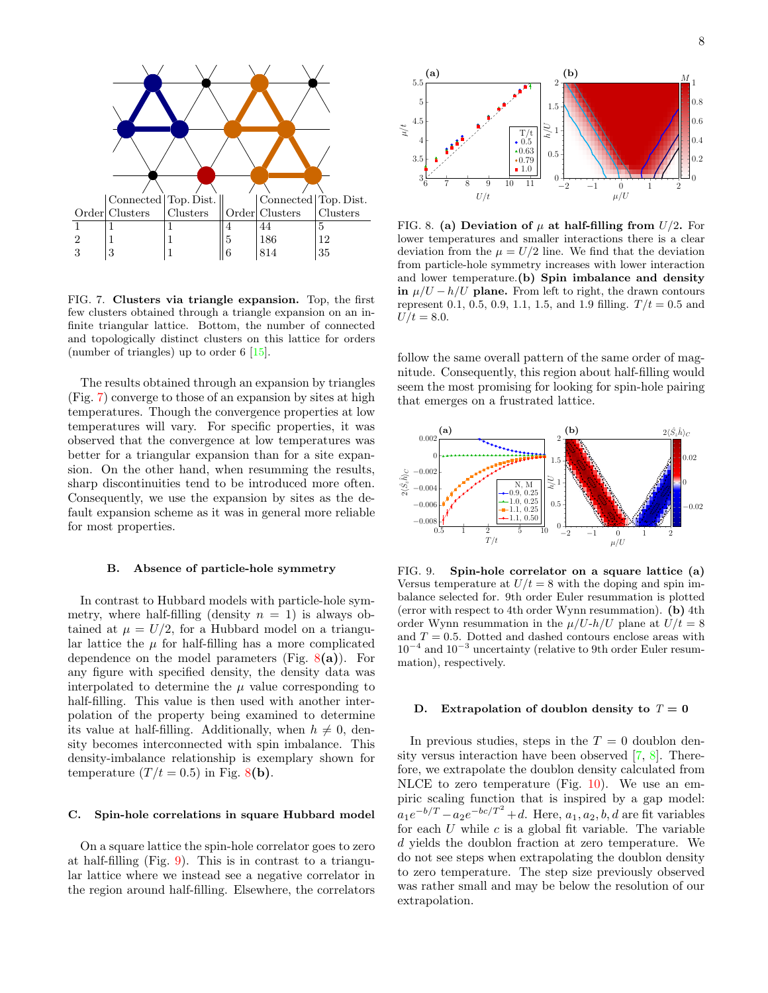

<span id="page-7-0"></span>FIG. 7. Clusters via triangle expansion. Top, the first few clusters obtained through a triangle expansion on an infinite triangular lattice. Bottom, the number of connected and topologically distinct clusters on this lattice for orders (number of triangles) up to order 6 [\[15\]](#page-6-17).

The results obtained through an expansion by triangles (Fig. [7\)](#page-7-0) converge to those of an expansion by sites at high temperatures. Though the convergence properties at low temperatures will vary. For specific properties, it was observed that the convergence at low temperatures was better for a triangular expansion than for a site expansion. On the other hand, when resumming the results, sharp discontinuities tend to be introduced more often. Consequently, we use the expansion by sites as the default expansion scheme as it was in general more reliable for most properties.

#### B. Absence of particle-hole symmetry

In contrast to Hubbard models with particle-hole symmetry, where half-filling (density  $n = 1$ ) is always obtained at  $\mu = U/2$ , for a Hubbard model on a triangular lattice the  $\mu$  for half-filling has a more complicated dependence on the model parameters (Fig.  $8(a)$  $8(a)$ ). For any figure with specified density, the density data was interpolated to determine the  $\mu$  value corresponding to half-filling. This value is then used with another interpolation of the property being examined to determine its value at half-filling. Additionally, when  $h \neq 0$ , density becomes interconnected with spin imbalance. This density-imbalance relationship is exemplary shown for temperature  $(T/t = 0.5)$  in Fig. [8](#page-7-1)(b).

# C. Spin-hole correlations in square Hubbard model

On a square lattice the spin-hole correlator goes to zero at half-filling (Fig. [9\)](#page-7-2). This is in contrast to a triangular lattice where we instead see a negative correlator in the region around half-filling. Elsewhere, the correlators



<span id="page-7-1"></span>FIG. 8. (a) Deviation of  $\mu$  at half-filling from  $U/2$ . For lower temperatures and smaller interactions there is a clear deviation from the  $\mu = U/2$  line. We find that the deviation from particle-hole symmetry increases with lower interaction and lower temperature.(b) Spin imbalance and density in  $\mu/U - h/U$  plane. From left to right, the drawn contours represent 0.1, 0.5, 0.9, 1.1, 1.5, and 1.9 filling.  $T/t = 0.5$  and  $U/t = 8.0.$ 

follow the same overall pattern of the same order of magnitude. Consequently, this region about half-filling would seem the most promising for looking for spin-hole pairing that emerges on a frustrated lattice.



<span id="page-7-2"></span>FIG. 9. Spin-hole correlator on a square lattice (a) Versus temperature at  $U/t = 8$  with the doping and spin imbalance selected for. 9th order Euler resummation is plotted (error with respect to 4th order Wynn resummation). (b) 4th order Wynn resummation in the  $\mu/U$ -h/U plane at  $U/t = 8$ and  $T = 0.5$ . Dotted and dashed contours enclose areas with  $10^{-4}$  and  $10^{-3}$  uncertainty (relative to 9th order Euler resummation), respectively.

# D. Extrapolation of doublon density to  $T = 0$

In previous studies, steps in the  $T = 0$  doublon density versus interaction have been observed [\[7,](#page-6-6) [8\]](#page-6-42). Therefore, we extrapolate the doublon density calculated from NLCE to zero temperature (Fig. [10\)](#page-8-0). We use an empiric scaling function that is inspired by a gap model:  $a_1e^{-b/T} - a_2e^{-bc/T^2} + d$ . Here,  $a_1, a_2, b, d$  are fit variables for each  $U$  while  $c$  is a global fit variable. The variable d yields the doublon fraction at zero temperature. We do not see steps when extrapolating the doublon density to zero temperature. The step size previously observed was rather small and may be below the resolution of our extrapolation.